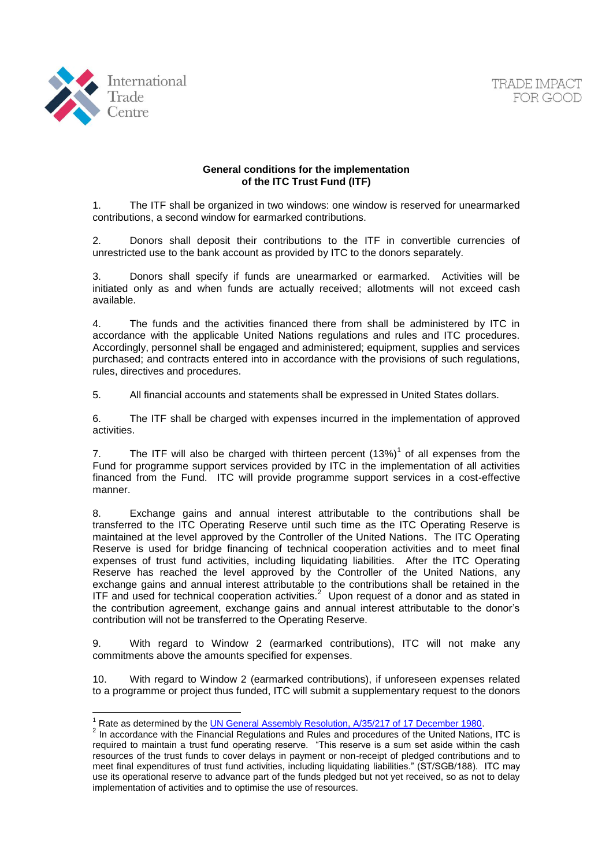

<u>.</u>



## **General conditions for the implementation of the ITC Trust Fund (ITF)**

1. The ITF shall be organized in two windows: one window is reserved for unearmarked contributions, a second window for earmarked contributions.

2. Donors shall deposit their contributions to the ITF in convertible currencies of unrestricted use to the bank account as provided by ITC to the donors separately.

3. Donors shall specify if funds are unearmarked or earmarked. Activities will be initiated only as and when funds are actually received; allotments will not exceed cash available.

4. The funds and the activities financed there from shall be administered by ITC in accordance with the applicable United Nations regulations and rules and ITC procedures. Accordingly, personnel shall be engaged and administered; equipment, supplies and services purchased; and contracts entered into in accordance with the provisions of such regulations, rules, directives and procedures.

5. All financial accounts and statements shall be expressed in United States dollars.

6. The ITF shall be charged with expenses incurred in the implementation of approved activities.

7. The ITF will also be charged with thirteen percent  $(13%)<sup>1</sup>$  of all expenses from the Fund for programme support services provided by ITC in the implementation of all activities financed from the Fund. ITC will provide programme support services in a cost-effective manner.

8. Exchange gains and annual interest attributable to the contributions shall be transferred to the ITC Operating Reserve until such time as the ITC Operating Reserve is maintained at the level approved by the Controller of the United Nations. The ITC Operating Reserve is used for bridge financing of technical cooperation activities and to meet final expenses of trust fund activities, including liquidating liabilities. After the ITC Operating Reserve has reached the level approved by the Controller of the United Nations, any exchange gains and annual interest attributable to the contributions shall be retained in the ITF and used for technical cooperation activities. $2$  Upon request of a donor and as stated in the contribution agreement, exchange gains and annual interest attributable to the donor's contribution will not be transferred to the Operating Reserve.

9. With regard to Window 2 (earmarked contributions), ITC will not make any commitments above the amounts specified for expenses.

10. With regard to Window 2 (earmarked contributions), if unforeseen expenses related to a programme or project thus funded, ITC will submit a supplementary request to the donors

<sup>&</sup>lt;sup>1</sup> Rate as determined by the **UN General Assembly Resolution, A/35/217 of 17 December 1980.** 

<sup>&</sup>lt;sup>2</sup> In accordance with the Financial Regulations and Rules and procedures of the United Nations, ITC is required to maintain a trust fund operating reserve. "This reserve is a sum set aside within the cash resources of the trust funds to cover delays in payment or non-receipt of pledged contributions and to meet final expenditures of trust fund activities, including liquidating liabilities." (ST/SGB/188). ITC may use its operational reserve to advance part of the funds pledged but not yet received, so as not to delay implementation of activities and to optimise the use of resources.